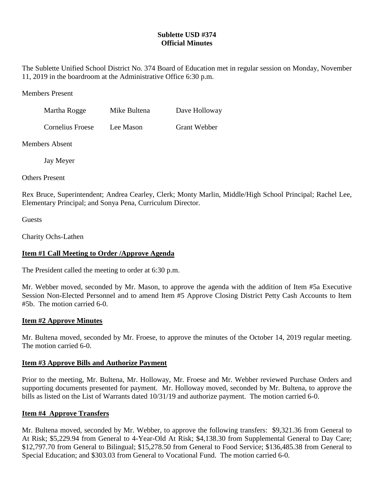# **Sublette USD #374 Official Minutes**

The Sublette Unified School District No. 374 Board of Education met in regular session on Monday, November 11, 2019 in the boardroom at the Administrative Office 6:30 p.m.

Members Present

| Martha Rogge            | Mike Bultena | Dave Holloway       |
|-------------------------|--------------|---------------------|
| <b>Cornelius Froese</b> | Lee Mason    | <b>Grant Webber</b> |

Members Absent

Jay Meyer

Others Present

Rex Bruce, Superintendent; Andrea Cearley, Clerk; Monty Marlin, Middle/High School Principal; Rachel Lee, Elementary Principal; and Sonya Pena, Curriculum Director.

Guests

Charity Ochs-Lathen

# **Item #1 Call Meeting to Order /Approve Agenda**

The President called the meeting to order at 6:30 p.m.

Mr. Webber moved, seconded by Mr. Mason, to approve the agenda with the addition of Item #5a Executive Session Non-Elected Personnel and to amend Item #5 Approve Closing District Petty Cash Accounts to Item #5b. The motion carried 6-0.

### **Item #2 Approve Minutes**

Mr. Bultena moved, seconded by Mr. Froese, to approve the minutes of the October 14, 2019 regular meeting. The motion carried 6-0.

### **Item #3 Approve Bills and Authorize Payment**

Prior to the meeting, Mr. Bultena, Mr. Holloway, Mr. Froese and Mr. Webber reviewed Purchase Orders and supporting documents presented for payment. Mr. Holloway moved, seconded by Mr. Bultena, to approve the bills as listed on the List of Warrants dated 10/31/19 and authorize payment. The motion carried 6-0.

### **Item #4 Approve Transfers**

Mr. Bultena moved, seconded by Mr. Webber, to approve the following transfers: \$9,321.36 from General to At Risk; \$5,229.94 from General to 4-Year-Old At Risk; \$4,138.30 from Supplemental General to Day Care; \$12,797.70 from General to Bilingual; \$15,278.50 from General to Food Service; \$136,485.38 from General to Special Education; and \$303.03 from General to Vocational Fund. The motion carried 6-0.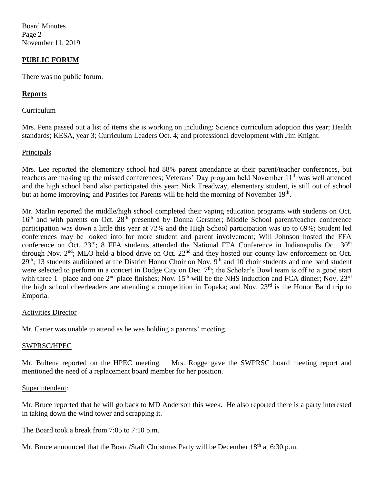Board Minutes Page 2 November 11, 2019

## **PUBLIC FORUM**

There was no public forum.

### **Reports**

#### Curriculum

Mrs. Pena passed out a list of items she is working on including: Science curriculum adoption this year; Health standards; KESA, year 3; Curriculum Leaders Oct. 4; and professional development with Jim Knight.

### Principals

Mrs. Lee reported the elementary school had 88% parent attendance at their parent/teacher conferences, but teachers are making up the missed conferences; Veterans' Day program held November 11<sup>th</sup> was well attended and the high school band also participated this year; Nick Treadway, elementary student, is still out of school but at home improving; and Pastries for Parents will be held the morning of November 19<sup>th</sup>.

Mr. Marlin reported the middle/high school completed their vaping education programs with students on Oct. 16<sup>th</sup> and with parents on Oct. 28<sup>th</sup> presented by Donna Gerstner; Middle School parent/teacher conference participation was down a little this year at 72% and the High School participation was up to 69%; Student led conferences may be looked into for more student and parent involvement; Will Johnson hosted the FFA conference on Oct. 23<sup>rd</sup>; 8 FFA students attended the National FFA Conference in Indianapolis Oct. 30<sup>th</sup> through Nov.  $2<sup>nd</sup>$ ; MLO held a blood drive on Oct.  $22<sup>nd</sup>$  and they hosted our county law enforcement on Oct. 29<sup>th</sup>; 13 students auditioned at the District Honor Choir on Nov. 9<sup>th</sup> and 10 choir students and one band student were selected to perform in a concert in Dodge City on Dec. 7<sup>th</sup>; the Scholar's Bowl team is off to a good start with three 1<sup>st</sup> place and one  $2<sup>nd</sup>$  place finishes; Nov.  $15<sup>th</sup>$  will be the NHS induction and FCA dinner; Nov.  $23<sup>rd</sup>$ the high school cheerleaders are attending a competition in Topeka; and Nov. 23<sup>rd</sup> is the Honor Band trip to Emporia.

### Activities Director

Mr. Carter was unable to attend as he was holding a parents' meeting.

#### SWPRSC/HPEC

Mr. Bultena reported on the HPEC meeting. Mrs. Rogge gave the SWPRSC board meeting report and mentioned the need of a replacement board member for her position.

#### Superintendent:

Mr. Bruce reported that he will go back to MD Anderson this week. He also reported there is a party interested in taking down the wind tower and scrapping it.

The Board took a break from 7:05 to 7:10 p.m.

Mr. Bruce announced that the Board/Staff Christmas Party will be December 18<sup>th</sup> at 6:30 p.m.